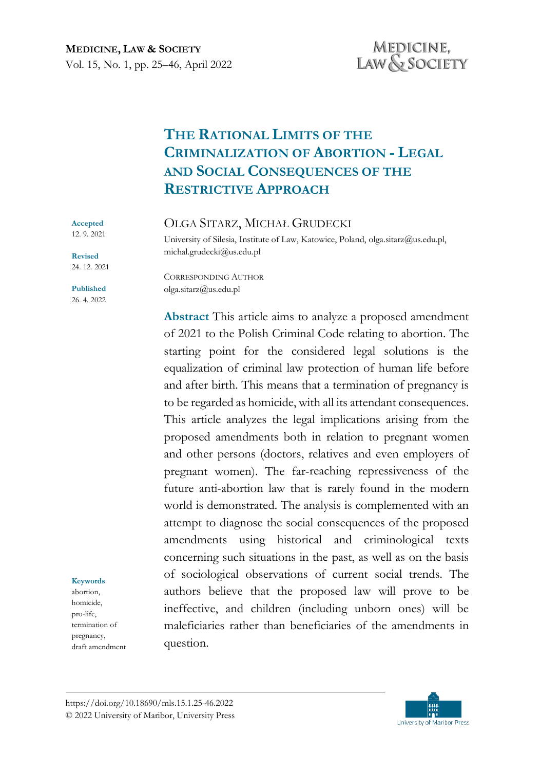# **THE RATIONAL LIMITS OF THE CRIMINALIZATION OF ABORTION - LEGAL AND SOCIAL CONSEQUENCES OF THE RESTRICTIVE APPROACH**

### OLGA SITARZ, MICHAŁ GRUDECKI

University of Silesia, Institute of Law, Katowice, Poland, olga.sitarz@us.edu.pl, michal.grudecki@us.edu.pl

**Revised** 24. 12. 2021

**Accepted**  12. 9. 2021

**Published** 26. 4. 2022

### **Keywords**

abortion, homicide, pro-life, termination of pregnancy, draft amendment CORRESPONDING AUTHOR olga.sitarz@us.edu.pl

**Abstract** This article aims to analyze a proposed amendment of 2021 to the Polish Criminal Code relating to abortion. The starting point for the considered legal solutions is the equalization of criminal law protection of human life before and after birth. This means that a termination of pregnancy is to be regarded as homicide, with all its attendant consequences. This article analyzes the legal implications arising from the proposed amendments both in relation to pregnant women and other persons (doctors, relatives and even employers of pregnant women). The far-reaching repressiveness of the future anti-abortion law that is rarely found in the modern world is demonstrated. The analysis is complemented with an attempt to diagnose the social consequences of the proposed amendments using historical and criminological texts concerning such situations in the past, as well as on the basis of sociological observations of current social trends. The authors believe that the proposed law will prove to be ineffective, and children (including unborn ones) will be maleficiaries rather than beneficiaries of the amendments in question.

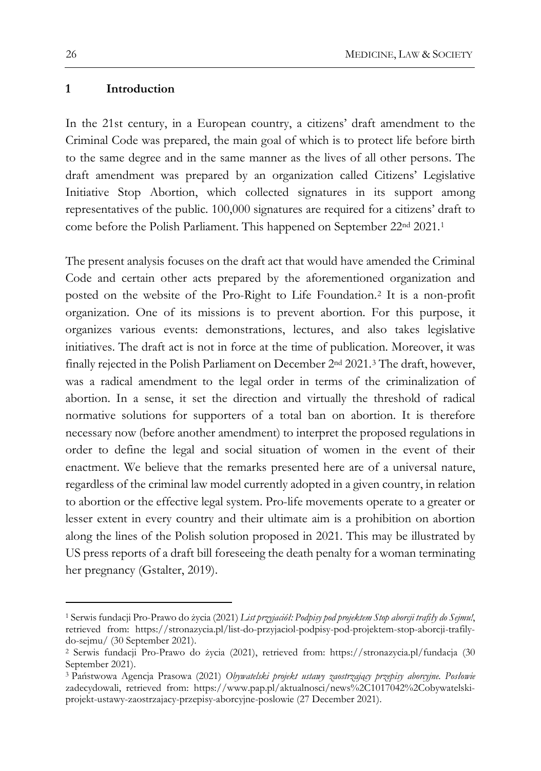### **1 Introduction**

In the 21st century, in a European country, a citizens' draft amendment to the Criminal Code was prepared, the main goal of which is to protect life before birth to the same degree and in the same manner as the lives of all other persons. The draft amendment was prepared by an organization called Citizens' Legislative Initiative Stop Abortion, which collected signatures in its support among representatives of the public. 100,000 signatures are required for a citizens' draft to come before the Polish Parliament. This happened on September 22nd 2021.[1](#page-1-0)

The present analysis focuses on the draft act that would have amended the Criminal Code and certain other acts prepared by the aforementioned organization and posted on the website of the Pro-Right to Life Foundation.[2](#page-1-1) It is a non-profit organization. One of its missions is to prevent abortion. For this purpose, it organizes various events: demonstrations, lectures, and also takes legislative initiatives. The draft act is not in force at the time of publication. Moreover, it was finally rejected in the Polish Parliament on December 2nd 2021.[3](#page-1-2) The draft, however, was a radical amendment to the legal order in terms of the criminalization of abortion. In a sense, it set the direction and virtually the threshold of radical normative solutions for supporters of a total ban on abortion. It is therefore necessary now (before another amendment) to interpret the proposed regulations in order to define the legal and social situation of women in the event of their enactment. We believe that the remarks presented here are of a universal nature, regardless of the criminal law model currently adopted in a given country, in relation to abortion or the effective legal system. Pro-life movements operate to a greater or lesser extent in every country and their ultimate aim is a prohibition on abortion along the lines of the Polish solution proposed in 2021. This may be illustrated by US press reports of a draft bill foreseeing the death penalty for a woman terminating her pregnancy (Gstalter, 2019).

<span id="page-1-0"></span><sup>1</sup> Serwis fundacji Pro-Prawo do życia (2021) *List przyjaciół: Podpisy pod projektem Stop aborcji trafiły do Sejmu!*, retrieved from: https://stronazycia.pl/list-do-przyjaciol-podpisy-pod-projektem-stop-aborcji-trafilydo-sejmu/ (30 September 2021).

<span id="page-1-1"></span><sup>2</sup> Serwis fundacji Pro-Prawo do życia (2021), retrieved from: https://stronazycia.pl/fundacja (30 September 2021).

<span id="page-1-2"></span><sup>3</sup> Państwowa Agencja Prasowa (2021) *Obywatelski projekt ustawy zaostrzający przepisy aborcyjne. Posłowie*  zadecydowali, retrieved from: https://www.pap.pl/aktualnosci/news%2C1017042%2Cobywatelskiprojekt-ustawy-zaostrzajacy-przepisy-aborcyjne-poslowie (27 December 2021).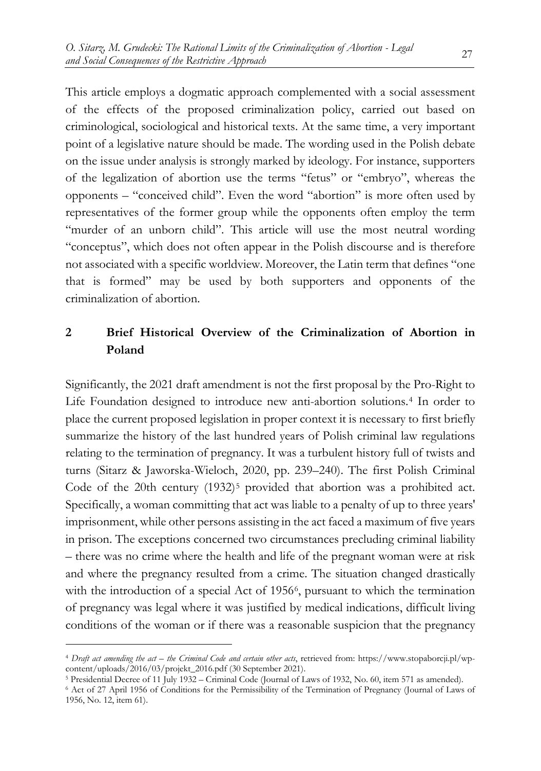This article employs a dogmatic approach complemented with a social assessment of the effects of the proposed criminalization policy, carried out based on criminological, sociological and historical texts. At the same time, a very important point of a legislative nature should be made. The wording used in the Polish debate on the issue under analysis is strongly marked by ideology. For instance, supporters of the legalization of abortion use the terms "fetus" or "embryo", whereas the opponents – "conceived child". Even the word "abortion" is more often used by representatives of the former group while the opponents often employ the term "murder of an unborn child". This article will use the most neutral wording "conceptus", which does not often appear in the Polish discourse and is therefore not associated with a specific worldview. Moreover, the Latin term that defines "one that is formed" may be used by both supporters and opponents of the criminalization of abortion.

# **2 Brief Historical Overview of the Criminalization of Abortion in Poland**

Significantly, the 2021 draft amendment is not the first proposal by the Pro-Right to Life Foundation designed to introduce new anti-abortion solutions.[4](#page-2-0) In order to place the current proposed legislation in proper context it is necessary to first briefly summarize the history of the last hundred years of Polish criminal law regulations relating to the termination of pregnancy. It was a turbulent history full of twists and turns (Sitarz & Jaworska-Wieloch, 2020, pp. 239–240). The first Polish Criminal Code of the 20th century  $(1932)^5$  $(1932)^5$  provided that abortion was a prohibited act. Specifically, a woman committing that act was liable to a penalty of up to three years' imprisonment, while other persons assisting in the act faced a maximum of five years in prison. The exceptions concerned two circumstances precluding criminal liability – there was no crime where the health and life of the pregnant woman were at risk and where the pregnancy resulted from a crime. The situation changed drastically with the introduction of a special Act of 195[6](#page-2-2)<sup>6</sup>, pursuant to which the termination of pregnancy was legal where it was justified by medical indications, difficult living conditions of the woman or if there was a reasonable suspicion that the pregnancy

<span id="page-2-0"></span><sup>4</sup> *Draft act amending the act – the Criminal Code and certain other acts*, retrieved from: https://www.stopaborcji.pl/wpcontent/uploads/2016/03/projekt\_2016.pdf (30 September 2021).

<span id="page-2-1"></span><sup>5</sup> Presidential Decree of 11 July 1932 – Criminal Code (Journal of Laws of 1932, No. 60, item 571 as amended).

<span id="page-2-2"></span><sup>6</sup> Act of 27 April 1956 of Conditions for the Permissibility of the Termination of Pregnancy (Journal of Laws of 1956, No. 12, item 61).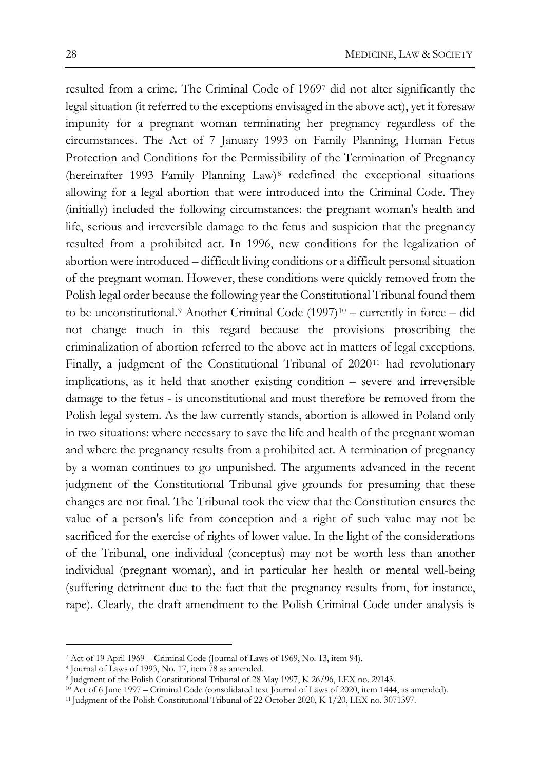resulted from a crime. The Criminal Code of 1969[7](#page-3-0) did not alter significantly the legal situation (it referred to the exceptions envisaged in the above act), yet it foresaw impunity for a pregnant woman terminating her pregnancy regardless of the circumstances. The Act of 7 January 1993 on Family Planning, Human Fetus Protection and Conditions for the Permissibility of the Termination of Pregnancy (hereinafter 1993 Family Planning Law)[8](#page-3-1) redefined the exceptional situations allowing for a legal abortion that were introduced into the Criminal Code. They (initially) included the following circumstances: the pregnant woman's health and life, serious and irreversible damage to the fetus and suspicion that the pregnancy resulted from a prohibited act. In 1996, new conditions for the legalization of abortion were introduced – difficult living conditions or a difficult personal situation of the pregnant woman. However, these conditions were quickly removed from the Polish legal order because the following year the Constitutional Tribunal found them to be unconstitutional.<sup>[9](#page-3-2)</sup> Another Criminal Code (1997)<sup>[10](#page-3-3)</sup> – currently in force – did not change much in this regard because the provisions proscribing the criminalization of abortion referred to the above act in matters of legal exceptions. Finally, a judgment of the Constitutional Tribunal of 2020<sup>[11](#page-3-4)</sup> had revolutionary implications, as it held that another existing condition – severe and irreversible damage to the fetus - is unconstitutional and must therefore be removed from the Polish legal system. As the law currently stands, abortion is allowed in Poland only in two situations: where necessary to save the life and health of the pregnant woman and where the pregnancy results from a prohibited act. A termination of pregnancy by a woman continues to go unpunished. The arguments advanced in the recent judgment of the Constitutional Tribunal give grounds for presuming that these changes are not final. The Tribunal took the view that the Constitution ensures the value of a person's life from conception and a right of such value may not be sacrificed for the exercise of rights of lower value. In the light of the considerations of the Tribunal, one individual (conceptus) may not be worth less than another individual (pregnant woman), and in particular her health or mental well-being (suffering detriment due to the fact that the pregnancy results from, for instance, rape). Clearly, the draft amendment to the Polish Criminal Code under analysis is

<span id="page-3-0"></span><sup>7</sup> Act of 19 April 1969 – Criminal Code (Journal of Laws of 1969, No. 13, item 94).

<span id="page-3-1"></span><sup>8</sup> Journal of Laws of 1993, No. 17, item 78 as amended.

<span id="page-3-2"></span><sup>9</sup> Judgment of the Polish Constitutional Tribunal of 28 May 1997, K 26/96, LEX no. 29143.

<span id="page-3-3"></span><sup>10</sup> Act of 6 June 1997 – Criminal Code (consolidated text Journal of Laws of 2020, item 1444, as amended).

<span id="page-3-4"></span><sup>11</sup> Judgment of the Polish Constitutional Tribunal of 22 October 2020, K 1/20, LEX no. 3071397.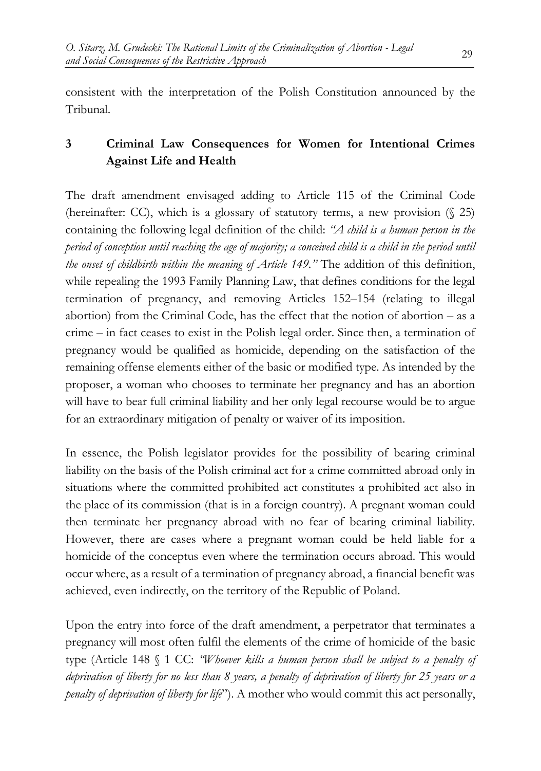consistent with the interpretation of the Polish Constitution announced by the Tribunal.

# **3 Criminal Law Consequences for Women for Intentional Crimes Against Life and Health**

The draft amendment envisaged adding to Article 115 of the Criminal Code (hereinafter: CC), which is a glossary of statutory terms, a new provision  $(\frac{25}{2})$ containing the following legal definition of the child: *"A child is a human person in the period of conception until reaching the age of majority; a conceived child is a child in the period until the onset of childbirth within the meaning of Article 149."* The addition of this definition, while repealing the 1993 Family Planning Law, that defines conditions for the legal termination of pregnancy, and removing Articles 152–154 (relating to illegal abortion) from the Criminal Code, has the effect that the notion of abortion – as a crime – in fact ceases to exist in the Polish legal order. Since then, a termination of pregnancy would be qualified as homicide, depending on the satisfaction of the remaining offense elements either of the basic or modified type. As intended by the proposer, a woman who chooses to terminate her pregnancy and has an abortion will have to bear full criminal liability and her only legal recourse would be to argue for an extraordinary mitigation of penalty or waiver of its imposition.

In essence, the Polish legislator provides for the possibility of bearing criminal liability on the basis of the Polish criminal act for a crime committed abroad only in situations where the committed prohibited act constitutes a prohibited act also in the place of its commission (that is in a foreign country). A pregnant woman could then terminate her pregnancy abroad with no fear of bearing criminal liability. However, there are cases where a pregnant woman could be held liable for a homicide of the conceptus even where the termination occurs abroad. This would occur where, as a result of a termination of pregnancy abroad, a financial benefit was achieved, even indirectly, on the territory of the Republic of Poland.

Upon the entry into force of the draft amendment, a perpetrator that terminates a pregnancy will most often fulfil the elements of the crime of homicide of the basic type (Article 148 § 1 CC: *"Whoever kills a human person shall be subject to a penalty of deprivation of liberty for no less than 8 years, a penalty of deprivation of liberty for 25 years or a penalty of deprivation of liberty for life*"). A mother who would commit this act personally,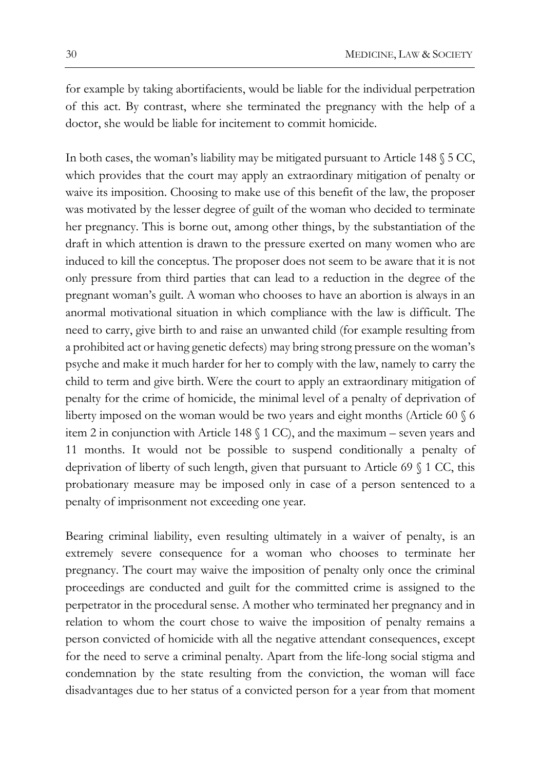for example by taking abortifacients, would be liable for the individual perpetration of this act. By contrast, where she terminated the pregnancy with the help of a doctor, she would be liable for incitement to commit homicide.

In both cases, the woman's liability may be mitigated pursuant to Article 148 § 5 CC, which provides that the court may apply an extraordinary mitigation of penalty or waive its imposition. Choosing to make use of this benefit of the law, the proposer was motivated by the lesser degree of guilt of the woman who decided to terminate her pregnancy. This is borne out, among other things, by the substantiation of the draft in which attention is drawn to the pressure exerted on many women who are induced to kill the conceptus. The proposer does not seem to be aware that it is not only pressure from third parties that can lead to a reduction in the degree of the pregnant woman's guilt. A woman who chooses to have an abortion is always in an anormal motivational situation in which compliance with the law is difficult. The need to carry, give birth to and raise an unwanted child (for example resulting from a prohibited act or having genetic defects) may bring strong pressure on the woman's psyche and make it much harder for her to comply with the law, namely to carry the child to term and give birth. Were the court to apply an extraordinary mitigation of penalty for the crime of homicide, the minimal level of a penalty of deprivation of liberty imposed on the woman would be two years and eight months (Article 60 § 6 item 2 in conjunction with Article 148 § 1 CC), and the maximum – seven years and 11 months. It would not be possible to suspend conditionally a penalty of deprivation of liberty of such length, given that pursuant to Article 69 § 1 CC, this probationary measure may be imposed only in case of a person sentenced to a penalty of imprisonment not exceeding one year.

Bearing criminal liability, even resulting ultimately in a waiver of penalty, is an extremely severe consequence for a woman who chooses to terminate her pregnancy. The court may waive the imposition of penalty only once the criminal proceedings are conducted and guilt for the committed crime is assigned to the perpetrator in the procedural sense. A mother who terminated her pregnancy and in relation to whom the court chose to waive the imposition of penalty remains a person convicted of homicide with all the negative attendant consequences, except for the need to serve a criminal penalty. Apart from the life-long social stigma and condemnation by the state resulting from the conviction, the woman will face disadvantages due to her status of a convicted person for a year from that moment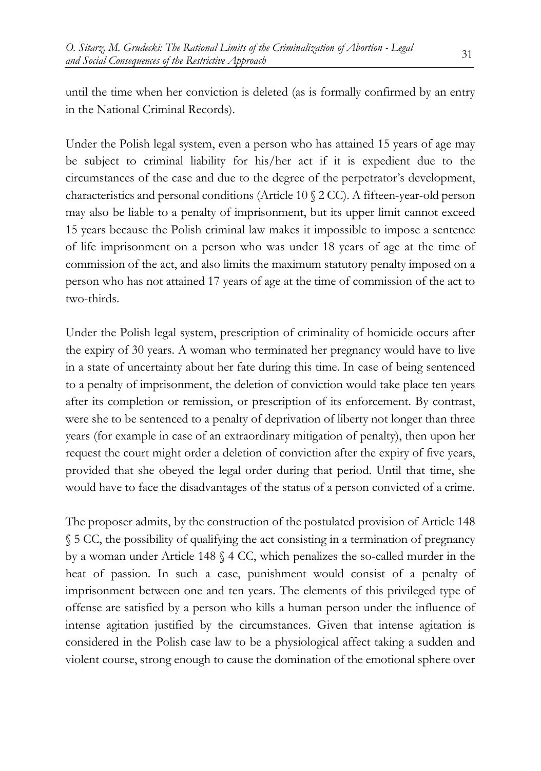until the time when her conviction is deleted (as is formally confirmed by an entry in the National Criminal Records).

Under the Polish legal system, even a person who has attained 15 years of age may be subject to criminal liability for his/her act if it is expedient due to the circumstances of the case and due to the degree of the perpetrator's development, characteristics and personal conditions (Article 10 § 2 CC). A fifteen-year-old person may also be liable to a penalty of imprisonment, but its upper limit cannot exceed 15 years because the Polish criminal law makes it impossible to impose a sentence of life imprisonment on a person who was under 18 years of age at the time of commission of the act, and also limits the maximum statutory penalty imposed on a person who has not attained 17 years of age at the time of commission of the act to two-thirds.

Under the Polish legal system, prescription of criminality of homicide occurs after the expiry of 30 years. A woman who terminated her pregnancy would have to live in a state of uncertainty about her fate during this time. In case of being sentenced to a penalty of imprisonment, the deletion of conviction would take place ten years after its completion or remission, or prescription of its enforcement. By contrast, were she to be sentenced to a penalty of deprivation of liberty not longer than three years (for example in case of an extraordinary mitigation of penalty), then upon her request the court might order a deletion of conviction after the expiry of five years, provided that she obeyed the legal order during that period. Until that time, she would have to face the disadvantages of the status of a person convicted of a crime.

The proposer admits, by the construction of the postulated provision of Article 148 § 5 CC, the possibility of qualifying the act consisting in a termination of pregnancy by a woman under Article 148 § 4 CC, which penalizes the so-called murder in the heat of passion. In such a case, punishment would consist of a penalty of imprisonment between one and ten years. The elements of this privileged type of offense are satisfied by a person who kills a human person under the influence of intense agitation justified by the circumstances. Given that intense agitation is considered in the Polish case law to be a physiological affect taking a sudden and violent course, strong enough to cause the domination of the emotional sphere over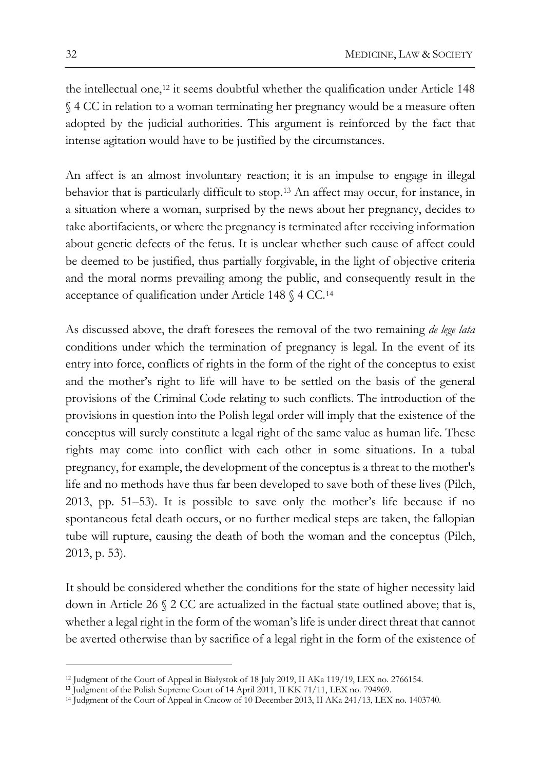the intellectual one,<sup>[12](#page-7-0)</sup> it seems doubtful whether the qualification under Article 148 § 4 CC in relation to a woman terminating her pregnancy would be a measure often adopted by the judicial authorities. This argument is reinforced by the fact that intense agitation would have to be justified by the circumstances.

An affect is an almost involuntary reaction; it is an impulse to engage in illegal behavior that is particularly difficult to stop.[13](#page-7-1) An affect may occur, for instance, in a situation where a woman, surprised by the news about her pregnancy, decides to take abortifacients, or where the pregnancy is terminated after receiving information about genetic defects of the fetus. It is unclear whether such cause of affect could be deemed to be justified, thus partially forgivable, in the light of objective criteria and the moral norms prevailing among the public, and consequently result in the acceptance of qualification under Article 148 § 4 CC.[14](#page-7-2)

As discussed above, the draft foresees the removal of the two remaining *de lege lata*  conditions under which the termination of pregnancy is legal. In the event of its entry into force, conflicts of rights in the form of the right of the conceptus to exist and the mother's right to life will have to be settled on the basis of the general provisions of the Criminal Code relating to such conflicts. The introduction of the provisions in question into the Polish legal order will imply that the existence of the conceptus will surely constitute a legal right of the same value as human life. These rights may come into conflict with each other in some situations. In a tubal pregnancy, for example, the development of the conceptus is a threat to the mother's life and no methods have thus far been developed to save both of these lives (Pilch, 2013, pp. 51–53). It is possible to save only the mother's life because if no spontaneous fetal death occurs, or no further medical steps are taken, the fallopian tube will rupture, causing the death of both the woman and the conceptus (Pilch, 2013, p. 53).

It should be considered whether the conditions for the state of higher necessity laid down in Article 26 § 2 CC are actualized in the factual state outlined above; that is, whether a legal right in the form of the woman's life is under direct threat that cannot be averted otherwise than by sacrifice of a legal right in the form of the existence of

<span id="page-7-0"></span><sup>12</sup> Judgment of the Court of Appeal in Białystok of 18 July 2019, II AKa 119/19, LEX no. 2766154.

<span id="page-7-1"></span>**<sup>13</sup>** Judgment of the Polish Supreme Court of 14 April 2011, II KK 71/11, LEX no. 794969.

<span id="page-7-2"></span><sup>14</sup> Judgment of the Court of Appeal in Cracow of 10 December 2013, II AKa 241/13, LEX no. 1403740.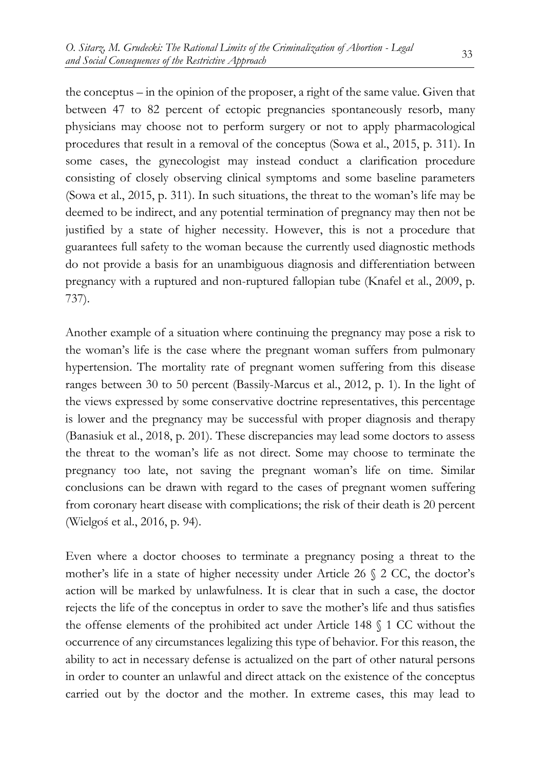the conceptus – in the opinion of the proposer, a right of the same value. Given that between 47 to 82 percent of ectopic pregnancies spontaneously resorb, many physicians may choose not to perform surgery or not to apply pharmacological procedures that result in a removal of the conceptus (Sowa et al., 2015, p. 311). In some cases, the gynecologist may instead conduct a clarification procedure consisting of closely observing clinical symptoms and some baseline parameters (Sowa et al., 2015, p. 311). In such situations, the threat to the woman's life may be deemed to be indirect, and any potential termination of pregnancy may then not be justified by a state of higher necessity. However, this is not a procedure that guarantees full safety to the woman because the currently used diagnostic methods do not provide a basis for an unambiguous diagnosis and differentiation between pregnancy with a ruptured and non-ruptured fallopian tube (Knafel et al., 2009, p. 737).

Another example of a situation where continuing the pregnancy may pose a risk to the woman's life is the case where the pregnant woman suffers from pulmonary hypertension. The mortality rate of pregnant women suffering from this disease ranges between 30 to 50 percent (Bassily-Marcus et al., 2012, p. 1). In the light of the views expressed by some conservative doctrine representatives, this percentage is lower and the pregnancy may be successful with proper diagnosis and therapy (Banasiuk et al., 2018, p. 201). These discrepancies may lead some doctors to assess the threat to the woman's life as not direct. Some may choose to terminate the pregnancy too late, not saving the pregnant woman's life on time. Similar conclusions can be drawn with regard to the cases of pregnant women suffering from coronary heart disease with complications; the risk of their death is 20 percent (Wielgoś et al., 2016, p. 94).

Even where a doctor chooses to terminate a pregnancy posing a threat to the mother's life in a state of higher necessity under Article 26 § 2 CC, the doctor's action will be marked by unlawfulness. It is clear that in such a case, the doctor rejects the life of the conceptus in order to save the mother's life and thus satisfies the offense elements of the prohibited act under Article 148 § 1 CC without the occurrence of any circumstances legalizing this type of behavior. For this reason, the ability to act in necessary defense is actualized on the part of other natural persons in order to counter an unlawful and direct attack on the existence of the conceptus carried out by the doctor and the mother. In extreme cases, this may lead to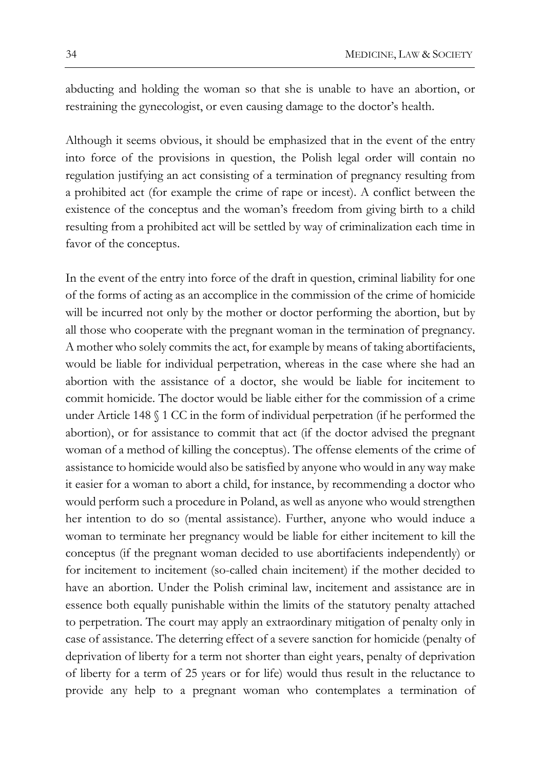abducting and holding the woman so that she is unable to have an abortion, or restraining the gynecologist, or even causing damage to the doctor's health.

Although it seems obvious, it should be emphasized that in the event of the entry into force of the provisions in question, the Polish legal order will contain no regulation justifying an act consisting of a termination of pregnancy resulting from a prohibited act (for example the crime of rape or incest). A conflict between the existence of the conceptus and the woman's freedom from giving birth to a child resulting from a prohibited act will be settled by way of criminalization each time in favor of the conceptus.

In the event of the entry into force of the draft in question, criminal liability for one of the forms of acting as an accomplice in the commission of the crime of homicide will be incurred not only by the mother or doctor performing the abortion, but by all those who cooperate with the pregnant woman in the termination of pregnancy. A mother who solely commits the act, for example by means of taking abortifacients, would be liable for individual perpetration, whereas in the case where she had an abortion with the assistance of a doctor, she would be liable for incitement to commit homicide. The doctor would be liable either for the commission of a crime under Article 148 § 1 CC in the form of individual perpetration (if he performed the abortion), or for assistance to commit that act (if the doctor advised the pregnant woman of a method of killing the conceptus). The offense elements of the crime of assistance to homicide would also be satisfied by anyone who would in any way make it easier for a woman to abort a child, for instance, by recommending a doctor who would perform such a procedure in Poland, as well as anyone who would strengthen her intention to do so (mental assistance). Further, anyone who would induce a woman to terminate her pregnancy would be liable for either incitement to kill the conceptus (if the pregnant woman decided to use abortifacients independently) or for incitement to incitement (so-called chain incitement) if the mother decided to have an abortion. Under the Polish criminal law, incitement and assistance are in essence both equally punishable within the limits of the statutory penalty attached to perpetration. The court may apply an extraordinary mitigation of penalty only in case of assistance. The deterring effect of a severe sanction for homicide (penalty of deprivation of liberty for a term not shorter than eight years, penalty of deprivation of liberty for a term of 25 years or for life) would thus result in the reluctance to provide any help to a pregnant woman who contemplates a termination of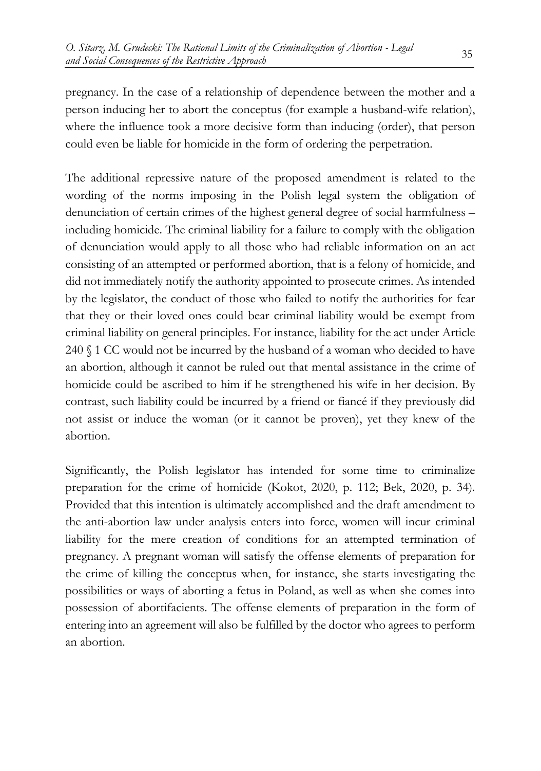pregnancy. In the case of a relationship of dependence between the mother and a person inducing her to abort the conceptus (for example a husband-wife relation), where the influence took a more decisive form than inducing (order), that person could even be liable for homicide in the form of ordering the perpetration.

The additional repressive nature of the proposed amendment is related to the wording of the norms imposing in the Polish legal system the obligation of denunciation of certain crimes of the highest general degree of social harmfulness – including homicide. The criminal liability for a failure to comply with the obligation of denunciation would apply to all those who had reliable information on an act consisting of an attempted or performed abortion, that is a felony of homicide, and did not immediately notify the authority appointed to prosecute crimes. As intended by the legislator, the conduct of those who failed to notify the authorities for fear that they or their loved ones could bear criminal liability would be exempt from criminal liability on general principles. For instance, liability for the act under Article 240 § 1 CC would not be incurred by the husband of a woman who decided to have an abortion, although it cannot be ruled out that mental assistance in the crime of homicide could be ascribed to him if he strengthened his wife in her decision. By contrast, such liability could be incurred by a friend or fiancé if they previously did not assist or induce the woman (or it cannot be proven), yet they knew of the abortion.

Significantly, the Polish legislator has intended for some time to criminalize preparation for the crime of homicide (Kokot, 2020, p. 112; Bek, 2020, p. 34). Provided that this intention is ultimately accomplished and the draft amendment to the anti-abortion law under analysis enters into force, women will incur criminal liability for the mere creation of conditions for an attempted termination of pregnancy. A pregnant woman will satisfy the offense elements of preparation for the crime of killing the conceptus when, for instance, she starts investigating the possibilities or ways of aborting a fetus in Poland, as well as when she comes into possession of abortifacients. The offense elements of preparation in the form of entering into an agreement will also be fulfilled by the doctor who agrees to perform an abortion.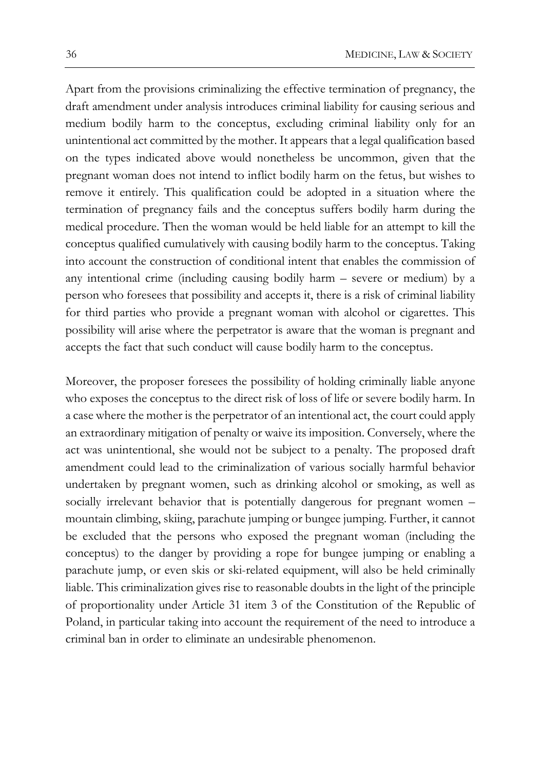Apart from the provisions criminalizing the effective termination of pregnancy, the draft amendment under analysis introduces criminal liability for causing serious and medium bodily harm to the conceptus, excluding criminal liability only for an unintentional act committed by the mother. It appears that a legal qualification based on the types indicated above would nonetheless be uncommon, given that the pregnant woman does not intend to inflict bodily harm on the fetus, but wishes to remove it entirely. This qualification could be adopted in a situation where the termination of pregnancy fails and the conceptus suffers bodily harm during the medical procedure. Then the woman would be held liable for an attempt to kill the conceptus qualified cumulatively with causing bodily harm to the conceptus. Taking into account the construction of conditional intent that enables the commission of any intentional crime (including causing bodily harm – severe or medium) by a person who foresees that possibility and accepts it, there is a risk of criminal liability for third parties who provide a pregnant woman with alcohol or cigarettes. This possibility will arise where the perpetrator is aware that the woman is pregnant and accepts the fact that such conduct will cause bodily harm to the conceptus.

Moreover, the proposer foresees the possibility of holding criminally liable anyone who exposes the conceptus to the direct risk of loss of life or severe bodily harm. In a case where the mother is the perpetrator of an intentional act, the court could apply an extraordinary mitigation of penalty or waive its imposition. Conversely, where the act was unintentional, she would not be subject to a penalty. The proposed draft amendment could lead to the criminalization of various socially harmful behavior undertaken by pregnant women, such as drinking alcohol or smoking, as well as socially irrelevant behavior that is potentially dangerous for pregnant women – mountain climbing, skiing, parachute jumping or bungee jumping. Further, it cannot be excluded that the persons who exposed the pregnant woman (including the conceptus) to the danger by providing a rope for bungee jumping or enabling a parachute jump, or even skis or ski-related equipment, will also be held criminally liable. This criminalization gives rise to reasonable doubts in the light of the principle of proportionality under Article 31 item 3 of the Constitution of the Republic of Poland, in particular taking into account the requirement of the need to introduce a criminal ban in order to eliminate an undesirable phenomenon.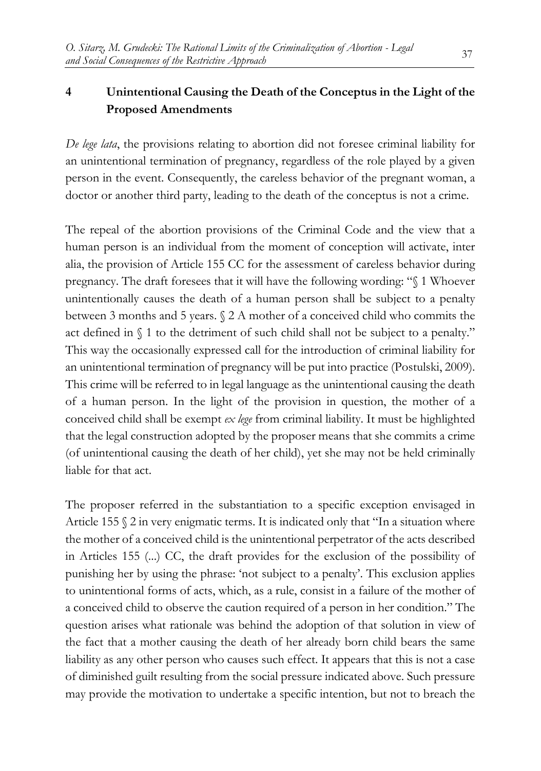# **4 Unintentional Causing the Death of the Conceptus in the Light of the Proposed Amendments**

*De lege lata*, the provisions relating to abortion did not foresee criminal liability for an unintentional termination of pregnancy, regardless of the role played by a given person in the event. Consequently, the careless behavior of the pregnant woman, a doctor or another third party, leading to the death of the conceptus is not a crime.

The repeal of the abortion provisions of the Criminal Code and the view that a human person is an individual from the moment of conception will activate, inter alia, the provision of Article 155 CC for the assessment of careless behavior during pregnancy. The draft foresees that it will have the following wording: "§ 1 Whoever unintentionally causes the death of a human person shall be subject to a penalty between 3 months and 5 years. § 2 A mother of a conceived child who commits the act defined in § 1 to the detriment of such child shall not be subject to a penalty." This way the occasionally expressed call for the introduction of criminal liability for an unintentional termination of pregnancy will be put into practice (Postulski, 2009). This crime will be referred to in legal language as the unintentional causing the death of a human person. In the light of the provision in question, the mother of a conceived child shall be exempt *ex lege* from criminal liability. It must be highlighted that the legal construction adopted by the proposer means that she commits a crime (of unintentional causing the death of her child), yet she may not be held criminally liable for that act.

The proposer referred in the substantiation to a specific exception envisaged in Article 155  $\S$  2 in very enigmatic terms. It is indicated only that "In a situation where the mother of a conceived child is the unintentional perpetrator of the acts described in Articles 155 (...) CC, the draft provides for the exclusion of the possibility of punishing her by using the phrase: 'not subject to a penalty'. This exclusion applies to unintentional forms of acts, which, as a rule, consist in a failure of the mother of a conceived child to observe the caution required of a person in her condition." The question arises what rationale was behind the adoption of that solution in view of the fact that a mother causing the death of her already born child bears the same liability as any other person who causes such effect. It appears that this is not a case of diminished guilt resulting from the social pressure indicated above. Such pressure may provide the motivation to undertake a specific intention, but not to breach the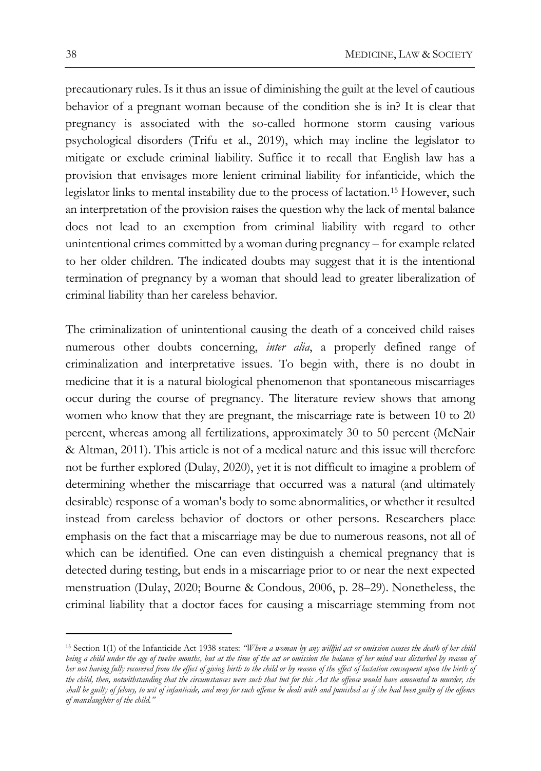precautionary rules. Is it thus an issue of diminishing the guilt at the level of cautious behavior of a pregnant woman because of the condition she is in? It is clear that pregnancy is associated with the so-called hormone storm causing various psychological disorders (Trifu et al., 2019), which may incline the legislator to mitigate or exclude criminal liability. Suffice it to recall that English law has a provision that envisages more lenient criminal liability for infanticide, which the legislator links to mental instability due to the process of lactation.[15](#page-13-0) However, such an interpretation of the provision raises the question why the lack of mental balance does not lead to an exemption from criminal liability with regard to other unintentional crimes committed by a woman during pregnancy – for example related to her older children. The indicated doubts may suggest that it is the intentional termination of pregnancy by a woman that should lead to greater liberalization of criminal liability than her careless behavior.

The criminalization of unintentional causing the death of a conceived child raises numerous other doubts concerning, *inter alia*, a properly defined range of criminalization and interpretative issues. To begin with, there is no doubt in medicine that it is a natural biological phenomenon that spontaneous miscarriages occur during the course of pregnancy. The literature review shows that among women who know that they are pregnant, the miscarriage rate is between 10 to 20 percent, whereas among all fertilizations, approximately 30 to 50 percent (McNair & Altman, 2011). This article is not of a medical nature and this issue will therefore not be further explored (Dulay, 2020), yet it is not difficult to imagine a problem of determining whether the miscarriage that occurred was a natural (and ultimately desirable) response of a woman's body to some abnormalities, or whether it resulted instead from careless behavior of doctors or other persons. Researchers place emphasis on the fact that a miscarriage may be due to numerous reasons, not all of which can be identified. One can even distinguish a chemical pregnancy that is detected during testing, but ends in a miscarriage prior to or near the next expected menstruation (Dulay, 2020; Bourne & Condous, 2006, p. 28–29). Nonetheless, the criminal liability that a doctor faces for causing a miscarriage stemming from not

<span id="page-13-0"></span><sup>15</sup> Section 1(1) of the Infanticide Act 1938 states: *"Where a woman by any willful act or omission causes the death of her child*  being a child under the age of twelve months, but at the time of the act or omission the balance of her mind was disturbed by reason of *her not having fully recovered from the effect of giving birth to the child or by reason of the effect of lactation consequent upon the birth of the child, then, notwithstanding that the circumstances were such that but for this Act the offence would have amounted to murder, she shall be guilty of felony, to wit of infanticide, and may for such offence be dealt with and punished as if she had been guilty of the offence of manslaughter of the child."*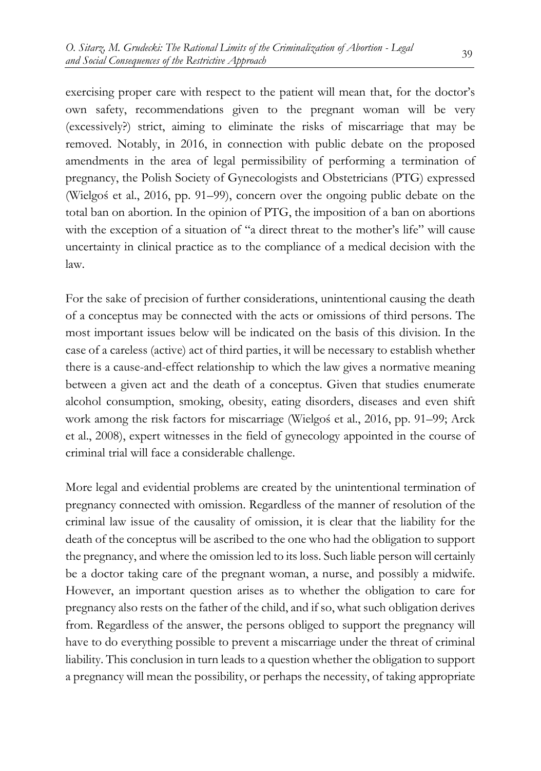exercising proper care with respect to the patient will mean that, for the doctor's own safety, recommendations given to the pregnant woman will be very (excessively?) strict, aiming to eliminate the risks of miscarriage that may be removed. Notably, in 2016, in connection with public debate on the proposed amendments in the area of legal permissibility of performing a termination of pregnancy, the Polish Society of Gynecologists and Obstetricians (PTG) expressed (Wielgoś et al., 2016, pp. 91–99), concern over the ongoing public debate on the total ban on abortion. In the opinion of PTG, the imposition of a ban on abortions with the exception of a situation of "a direct threat to the mother's life" will cause uncertainty in clinical practice as to the compliance of a medical decision with the law.

For the sake of precision of further considerations, unintentional causing the death of a conceptus may be connected with the acts or omissions of third persons. The most important issues below will be indicated on the basis of this division. In the case of a careless (active) act of third parties, it will be necessary to establish whether there is a cause-and-effect relationship to which the law gives a normative meaning between a given act and the death of a conceptus. Given that studies enumerate alcohol consumption, smoking, obesity, eating disorders, diseases and even shift work among the risk factors for miscarriage (Wielgoś et al., 2016, pp. 91–99; Arck et al., 2008), expert witnesses in the field of gynecology appointed in the course of criminal trial will face a considerable challenge.

More legal and evidential problems are created by the unintentional termination of pregnancy connected with omission. Regardless of the manner of resolution of the criminal law issue of the causality of omission, it is clear that the liability for the death of the conceptus will be ascribed to the one who had the obligation to support the pregnancy, and where the omission led to its loss. Such liable person will certainly be a doctor taking care of the pregnant woman, a nurse, and possibly a midwife. However, an important question arises as to whether the obligation to care for pregnancy also rests on the father of the child, and if so, what such obligation derives from. Regardless of the answer, the persons obliged to support the pregnancy will have to do everything possible to prevent a miscarriage under the threat of criminal liability. This conclusion in turn leads to a question whether the obligation to support a pregnancy will mean the possibility, or perhaps the necessity, of taking appropriate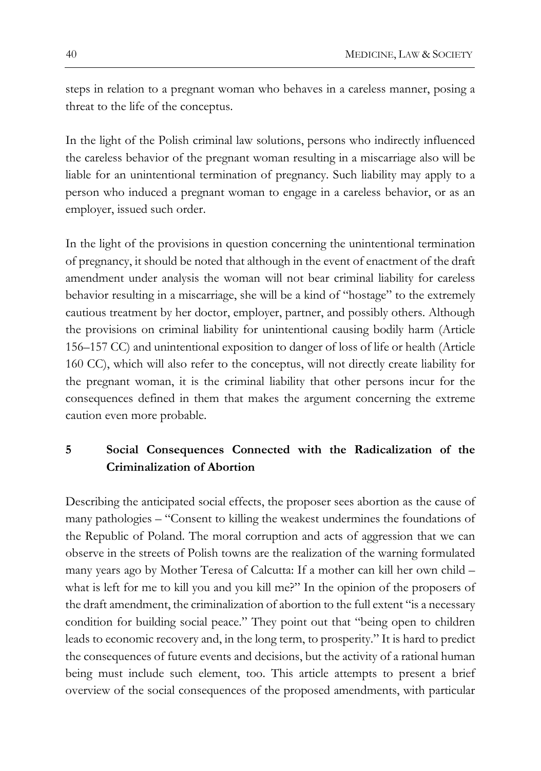steps in relation to a pregnant woman who behaves in a careless manner, posing a threat to the life of the conceptus.

In the light of the Polish criminal law solutions, persons who indirectly influenced the careless behavior of the pregnant woman resulting in a miscarriage also will be liable for an unintentional termination of pregnancy. Such liability may apply to a person who induced a pregnant woman to engage in a careless behavior, or as an employer, issued such order.

In the light of the provisions in question concerning the unintentional termination of pregnancy, it should be noted that although in the event of enactment of the draft amendment under analysis the woman will not bear criminal liability for careless behavior resulting in a miscarriage, she will be a kind of "hostage" to the extremely cautious treatment by her doctor, employer, partner, and possibly others. Although the provisions on criminal liability for unintentional causing bodily harm (Article 156–157 CC) and unintentional exposition to danger of loss of life or health (Article 160 CC), which will also refer to the conceptus, will not directly create liability for the pregnant woman, it is the criminal liability that other persons incur for the consequences defined in them that makes the argument concerning the extreme caution even more probable.

### **5 Social Consequences Connected with the Radicalization of the Criminalization of Abortion**

Describing the anticipated social effects, the proposer sees abortion as the cause of many pathologies – "Consent to killing the weakest undermines the foundations of the Republic of Poland. The moral corruption and acts of aggression that we can observe in the streets of Polish towns are the realization of the warning formulated many years ago by Mother Teresa of Calcutta: If a mother can kill her own child – what is left for me to kill you and you kill me?" In the opinion of the proposers of the draft amendment, the criminalization of abortion to the full extent "is a necessary condition for building social peace." They point out that "being open to children leads to economic recovery and, in the long term, to prosperity." It is hard to predict the consequences of future events and decisions, but the activity of a rational human being must include such element, too. This article attempts to present a brief overview of the social consequences of the proposed amendments, with particular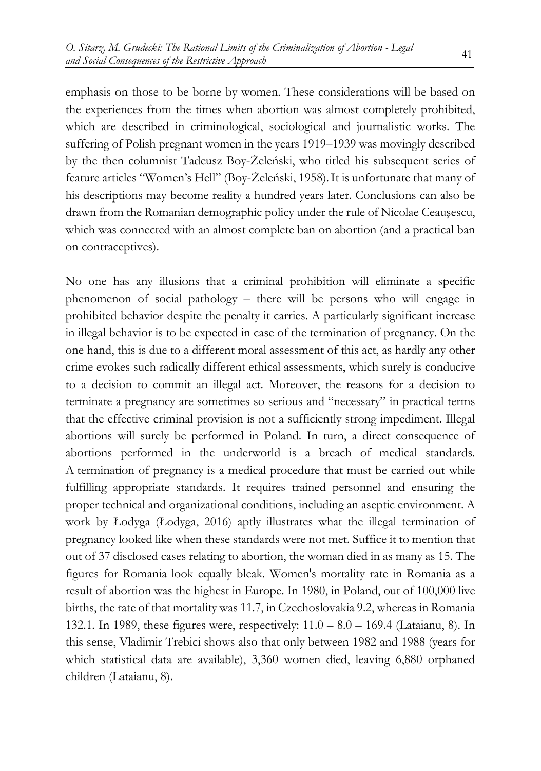emphasis on those to be borne by women. These considerations will be based on the experiences from the times when abortion was almost completely prohibited, which are described in criminological, sociological and journalistic works. The suffering of Polish pregnant women in the years 1919–1939 was movingly described by the then columnist Tadeusz Boy-Żeleński, who titled his subsequent series of feature articles "Women's Hell" (Boy-Żeleński, 1958).It is unfortunate that many of his descriptions may become reality a hundred years later. Conclusions can also be drawn from the Romanian demographic policy under the rule of Nicolae Ceauşescu, which was connected with an almost complete ban on abortion (and a practical ban on contraceptives).

No one has any illusions that a criminal prohibition will eliminate a specific phenomenon of social pathology – there will be persons who will engage in prohibited behavior despite the penalty it carries. A particularly significant increase in illegal behavior is to be expected in case of the termination of pregnancy. On the one hand, this is due to a different moral assessment of this act, as hardly any other crime evokes such radically different ethical assessments, which surely is conducive to a decision to commit an illegal act. Moreover, the reasons for a decision to terminate a pregnancy are sometimes so serious and "necessary" in practical terms that the effective criminal provision is not a sufficiently strong impediment. Illegal abortions will surely be performed in Poland. In turn, a direct consequence of abortions performed in the underworld is a breach of medical standards. A termination of pregnancy is a medical procedure that must be carried out while fulfilling appropriate standards. It requires trained personnel and ensuring the proper technical and organizational conditions, including an aseptic environment. A work by Łodyga (Łodyga, 2016) aptly illustrates what the illegal termination of pregnancy looked like when these standards were not met. Suffice it to mention that out of 37 disclosed cases relating to abortion, the woman died in as many as 15. The figures for Romania look equally bleak. Women's mortality rate in Romania as a result of abortion was the highest in Europe. In 1980, in Poland, out of 100,000 live births, the rate of that mortality was 11.7, in Czechoslovakia 9.2, whereas in Romania 132.1. In 1989, these figures were, respectively: 11.0 – 8.0 – 169.4 (Lataianu, 8). In this sense, Vladimir Trebici shows also that only between 1982 and 1988 (years for which statistical data are available), 3,360 women died, leaving 6,880 orphaned children (Lataianu, 8).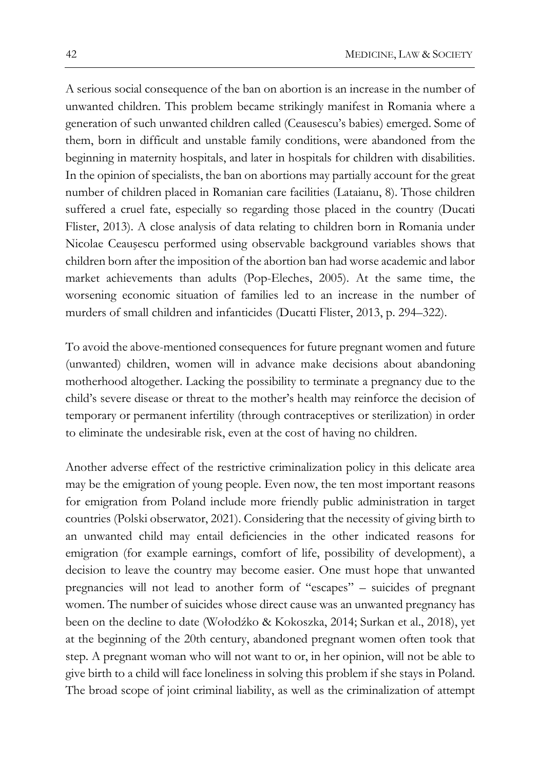A serious social consequence of the ban on abortion is an increase in the number of unwanted children. This problem became strikingly manifest in Romania where a generation of such unwanted children called (Ceausescu's babies) emerged. Some of them, born in difficult and unstable family conditions, were abandoned from the beginning in maternity hospitals, and later in hospitals for children with disabilities. In the opinion of specialists, the ban on abortions may partially account for the great number of children placed in Romanian care facilities (Lataianu, 8). Those children suffered a cruel fate, especially so regarding those placed in the country (Ducati Flister, 2013). A close analysis of data relating to children born in Romania under Nicolae Ceauşescu performed using observable background variables shows that children born after the imposition of the abortion ban had worse academic and labor market achievements than adults (Pop-Eleches, 2005). At the same time, the worsening economic situation of families led to an increase in the number of murders of small children and infanticides (Ducatti Flister, 2013, p. 294–322).

To avoid the above-mentioned consequences for future pregnant women and future (unwanted) children, women will in advance make decisions about abandoning motherhood altogether. Lacking the possibility to terminate a pregnancy due to the child's severe disease or threat to the mother's health may reinforce the decision of temporary or permanent infertility (through contraceptives or sterilization) in order to eliminate the undesirable risk, even at the cost of having no children.

Another adverse effect of the restrictive criminalization policy in this delicate area may be the emigration of young people. Even now, the ten most important reasons for emigration from Poland include more friendly public administration in target countries (Polski obserwator, 2021). Considering that the necessity of giving birth to an unwanted child may entail deficiencies in the other indicated reasons for emigration (for example earnings, comfort of life, possibility of development), a decision to leave the country may become easier. One must hope that unwanted pregnancies will not lead to another form of "escapes" – suicides of pregnant women. The number of suicides whose direct cause was an unwanted pregnancy has been on the decline to date (Wołodźko & Kokoszka, 2014; Surkan et al., 2018), yet at the beginning of the 20th century, abandoned pregnant women often took that step. A pregnant woman who will not want to or, in her opinion, will not be able to give birth to a child will face loneliness in solving this problem if she stays in Poland. The broad scope of joint criminal liability, as well as the criminalization of attempt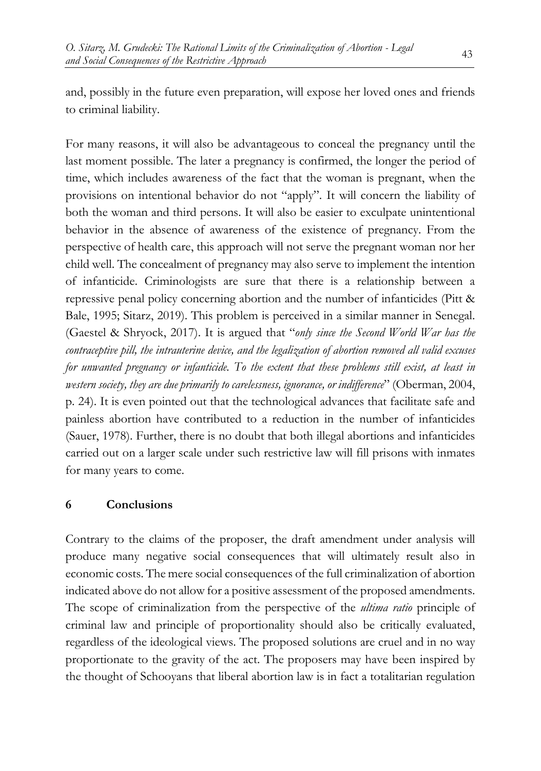and, possibly in the future even preparation, will expose her loved ones and friends to criminal liability.

For many reasons, it will also be advantageous to conceal the pregnancy until the last moment possible. The later a pregnancy is confirmed, the longer the period of time, which includes awareness of the fact that the woman is pregnant, when the provisions on intentional behavior do not "apply". It will concern the liability of both the woman and third persons. It will also be easier to exculpate unintentional behavior in the absence of awareness of the existence of pregnancy. From the perspective of health care, this approach will not serve the pregnant woman nor her child well. The concealment of pregnancy may also serve to implement the intention of infanticide. Criminologists are sure that there is a relationship between a repressive penal policy concerning abortion and the number of infanticides (Pitt & Bale, 1995; Sitarz, 2019). This problem is perceived in a similar manner in Senegal. (Gaestel & Shryock, 2017). It is argued that "*only since the Second World War has the contraceptive pill, the intrauterine device, and the legalization of abortion removed all valid excuses for unwanted pregnancy or infanticide. To the extent that these problems still exist, at least in western society, they are due primarily to carelessness, ignorance, or indifference*" (Oberman, 2004, p. 24). It is even pointed out that the technological advances that facilitate safe and painless abortion have contributed to a reduction in the number of infanticides (Sauer, 1978). Further, there is no doubt that both illegal abortions and infanticides carried out on a larger scale under such restrictive law will fill prisons with inmates for many years to come.

### **6 Conclusions**

Contrary to the claims of the proposer, the draft amendment under analysis will produce many negative social consequences that will ultimately result also in economic costs. The mere social consequences of the full criminalization of abortion indicated above do not allow for a positive assessment of the proposed amendments. The scope of criminalization from the perspective of the *ultima ratio* principle of criminal law and principle of proportionality should also be critically evaluated, regardless of the ideological views. The proposed solutions are cruel and in no way proportionate to the gravity of the act. The proposers may have been inspired by the thought of Schooyans that liberal abortion law is in fact a totalitarian regulation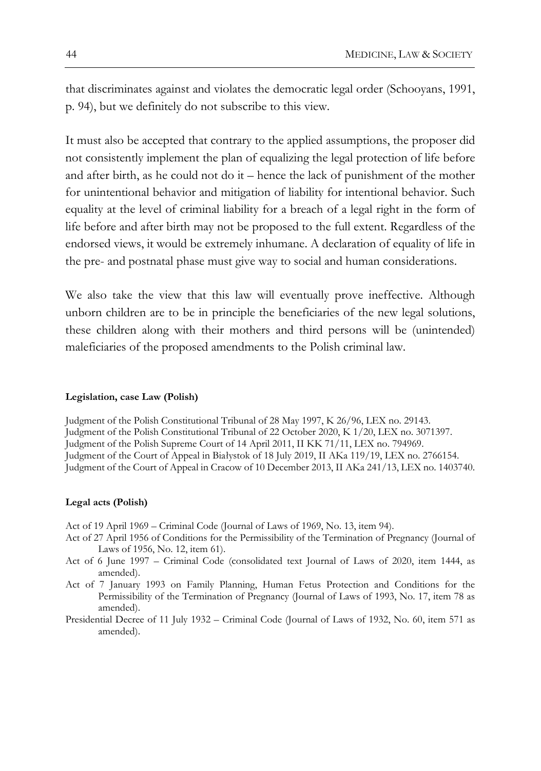that discriminates against and violates the democratic legal order (Schooyans, 1991, p. 94), but we definitely do not subscribe to this view.

It must also be accepted that contrary to the applied assumptions, the proposer did not consistently implement the plan of equalizing the legal protection of life before and after birth, as he could not do it – hence the lack of punishment of the mother for unintentional behavior and mitigation of liability for intentional behavior. Such equality at the level of criminal liability for a breach of a legal right in the form of life before and after birth may not be proposed to the full extent. Regardless of the endorsed views, it would be extremely inhumane. A declaration of equality of life in the pre- and postnatal phase must give way to social and human considerations.

We also take the view that this law will eventually prove ineffective. Although unborn children are to be in principle the beneficiaries of the new legal solutions, these children along with their mothers and third persons will be (unintended) maleficiaries of the proposed amendments to the Polish criminal law.

### **Legislation, case Law (Polish)**

Judgment of the Polish Constitutional Tribunal of 28 May 1997, K 26/96, LEX no. 29143. Judgment of the Polish Constitutional Tribunal of 22 October 2020, K 1/20, LEX no. 3071397. Judgment of the Polish Supreme Court of 14 April 2011, II KK 71/11, LEX no. 794969. Judgment of the Court of Appeal in Białystok of 18 July 2019, II AKa 119/19, LEX no. 2766154. Judgment of the Court of Appeal in Cracow of 10 December 2013, II AKa 241/13, LEX no. 1403740.

### **Legal acts (Polish)**

Act of 19 April 1969 – Criminal Code (Journal of Laws of 1969, No. 13, item 94).

- Act of 27 April 1956 of Conditions for the Permissibility of the Termination of Pregnancy (Journal of Laws of 1956, No. 12, item 61).
- Act of 6 June 1997 Criminal Code (consolidated text Journal of Laws of 2020, item 1444, as amended).
- Act of 7 January 1993 on Family Planning, Human Fetus Protection and Conditions for the Permissibility of the Termination of Pregnancy (Journal of Laws of 1993, No. 17, item 78 as amended).
- Presidential Decree of 11 July 1932 Criminal Code (Journal of Laws of 1932, No. 60, item 571 as amended).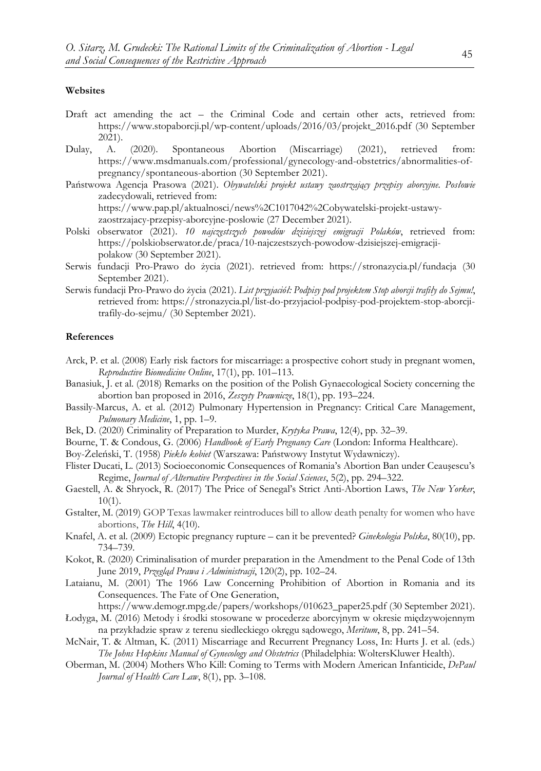#### **Websites**

- Draft act amending the act the Criminal Code and certain other acts, retrieved from: https://www.stopaborcji.pl/wp-content/uploads/2016/03/projekt\_2016.pdf (30 September 2021).
- Dulay, A. (2020). Spontaneous Abortion (Miscarriage) (2021), retrieved from: https://www.msdmanuals.com/professional/gynecology-and-obstetrics/abnormalities-ofpregnancy/spontaneous-abortion (30 September 2021).
- Państwowa Agencja Prasowa (2021). *Obywatelski projekt ustawy zaostrzający przepisy aborcyjne. Posłowie*  zadecydowali, retrieved from: https://www.pap.pl/aktualnosci/news%2C1017042%2Cobywatelski-projekt-ustawy-

zaostrzajacy-przepisy-aborcyjne-poslowie (27 December 2021).

- Polski obserwator (2021). *10 najczęstszych powodów dzisiejszej emigracji Polaków*, retrieved from: https://polskiobserwator.de/praca/10-najczestszych-powodow-dzisiejszej-emigracjipolakow (30 September 2021).
- Serwis fundacji Pro-Prawo do życia (2021). retrieved from: https://stronazycia.pl/fundacja (30 September 2021).
- Serwis fundacji Pro-Prawo do życia (2021). *List przyjaciół: Podpisy pod projektem Stop aborcji trafiły do Sejmu!*, retrieved from: https://stronazycia.pl/list-do-przyjaciol-podpisy-pod-projektem-stop-aborcjitrafily-do-sejmu/ (30 September 2021).

### **References**

- Arck, P. et al. (2008) Early risk factors for miscarriage: a prospective cohort study in pregnant women, *Reproductive Biomedicine Online*, 17(1), pp. 101–113.
- Banasiuk, J. et al. (2018) Remarks on the position of the Polish Gynaecological Society concerning the abortion ban proposed in 2016, *Zeszyty Prawnicze*, 18(1), pp. 193–224.
- Bassily-Marcus, A. et al. (2012) Pulmonary Hypertension in Pregnancy: Critical Care Management, *Pulmonary Medicine*, 1, pp. 1–9.
- Bek, D. (2020) Criminality of Preparation to Murder, *Krytyka Prawa*, 12(4), pp. 32–39.
- Bourne, T. & Condous, G. (2006) *Handbook of Early Pregnancy Care* (London: Informa Healthcare).
- Boy-Żeleński, T. (1958) *Piekło kobiet* (Warszawa: Państwowy Instytut Wydawniczy).
- Flister Ducati, L. (2013) Socioeconomic Consequences of Romania's Abortion Ban under Ceauşescu's Regime, *Journal of Alternative Perspectives in the Social Sciences*, 5(2), pp. 294–322.
- Gaestell, A. & Shryock, R. (2017) The Price of Senegal's Strict Anti-Abortion Laws, *The New Yorker*,  $10(1)$ .
- Gstalter, M. (2019) GOP Texas lawmaker reintroduces bill to allow death penalty for women who have abortions, *The Hill*, 4(10).
- Knafel, A. et al. (2009) Ectopic pregnancy rupture can it be prevented? *Ginekologia Polska*, 80(10), pp. 734–739.
- Kokot, R. (2020) Criminalisation of murder preparation in the Amendment to the Penal Code of 13th June 2019, *Przegląd Prawa i Administracji*, 120(2), pp. 102–24.
- Lataianu, M. (2001) The 1966 Law Concerning Prohibition of Abortion in Romania and its Consequences. The Fate of One Generation,

https://www.demogr.mpg.de/papers/workshops/010623\_paper25.pdf (30 September 2021).

- Łodyga, M. (2016) Metody i środki stosowane w procederze aborcyjnym w okresie międzywojennym na przykładzie spraw z terenu siedleckiego okręgu sądowego, *Meritum*, 8, pp. 241–54.
- McNair, T. & Altman, K. (2011) Miscarriage and Recurrent Pregnancy Loss, In: Hurts J. et al. (eds.) *The Johns Hopkins Manual of Gynecology and Obstetrics* (Philadelphia: WoltersKluwer Health).
- Oberman, M. (2004) Mothers Who Kill: Coming to Terms with Modern American Infanticide, *DePaul Journal of Health Care Law*, 8(1), pp. 3–108.